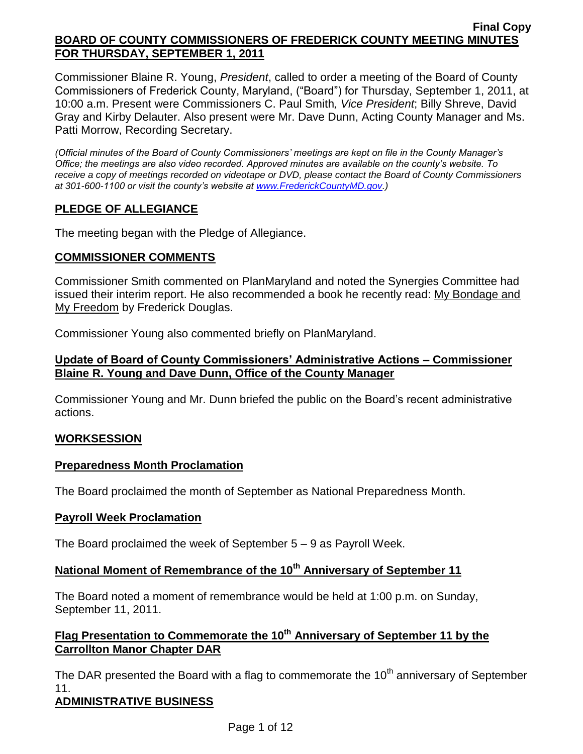Commissioner Blaine R. Young, *President*, called to order a meeting of the Board of County Commissioners of Frederick County, Maryland, ("Board") for Thursday, September 1, 2011, at 10:00 a.m. Present were Commissioners C. Paul Smith*, Vice President*; Billy Shreve, David Gray and Kirby Delauter. Also present were Mr. Dave Dunn, Acting County Manager and Ms. Patti Morrow, Recording Secretary.

*(Official minutes of the Board of County Commissioners' meetings are kept on file in the County Manager's Office; the meetings are also video recorded. Approved minutes are available on the county's website. To receive a copy of meetings recorded on videotape or DVD, please contact the Board of County Commissioners at 301-600-1100 or visit the county's website at [www.FrederickCountyMD.gov.](http://www.frederickcountymd.gov/))*

## **PLEDGE OF ALLEGIANCE**

The meeting began with the Pledge of Allegiance.

### **COMMISSIONER COMMENTS**

Commissioner Smith commented on PlanMaryland and noted the Synergies Committee had issued their interim report. He also recommended a book he recently read: My Bondage and My Freedom by Frederick Douglas.

Commissioner Young also commented briefly on PlanMaryland.

### **Update of Board of County Commissioners' Administrative Actions – Commissioner Blaine R. Young and Dave Dunn, Office of the County Manager**

Commissioner Young and Mr. Dunn briefed the public on the Board's recent administrative actions.

### **WORKSESSION**

### **Preparedness Month Proclamation**

The Board proclaimed the month of September as National Preparedness Month.

### **Payroll Week Proclamation**

The Board proclaimed the week of September 5 – 9 as Payroll Week.

# **National Moment of Remembrance of the 10th Anniversary of September 11**

The Board noted a moment of remembrance would be held at 1:00 p.m. on Sunday, September 11, 2011.

# **Flag Presentation to Commemorate the 10th Anniversary of September 11 by the Carrollton Manor Chapter DAR**

The DAR presented the Board with a flag to commemorate the  $10<sup>th</sup>$  anniversary of September 11.

### **ADMINISTRATIVE BUSINESS**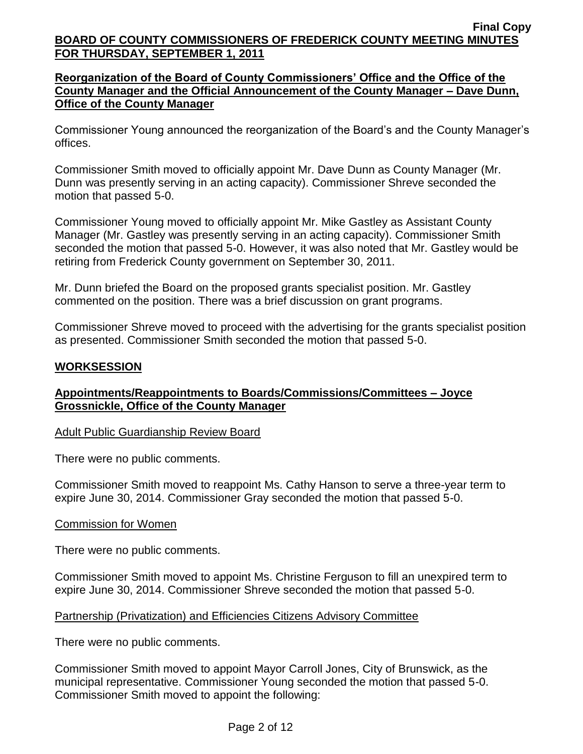## **Reorganization of the Board of County Commissioners' Office and the Office of the County Manager and the Official Announcement of the County Manager – Dave Dunn, Office of the County Manager**

Commissioner Young announced the reorganization of the Board's and the County Manager's offices.

Commissioner Smith moved to officially appoint Mr. Dave Dunn as County Manager (Mr. Dunn was presently serving in an acting capacity). Commissioner Shreve seconded the motion that passed 5-0.

Commissioner Young moved to officially appoint Mr. Mike Gastley as Assistant County Manager (Mr. Gastley was presently serving in an acting capacity). Commissioner Smith seconded the motion that passed 5-0. However, it was also noted that Mr. Gastley would be retiring from Frederick County government on September 30, 2011.

Mr. Dunn briefed the Board on the proposed grants specialist position. Mr. Gastley commented on the position. There was a brief discussion on grant programs.

Commissioner Shreve moved to proceed with the advertising for the grants specialist position as presented. Commissioner Smith seconded the motion that passed 5-0.

## **WORKSESSION**

## **Appointments/Reappointments to Boards/Commissions/Committees – Joyce Grossnickle, Office of the County Manager**

### Adult Public Guardianship Review Board

There were no public comments.

Commissioner Smith moved to reappoint Ms. Cathy Hanson to serve a three-year term to expire June 30, 2014. Commissioner Gray seconded the motion that passed 5-0.

#### Commission for Women

There were no public comments.

Commissioner Smith moved to appoint Ms. Christine Ferguson to fill an unexpired term to expire June 30, 2014. Commissioner Shreve seconded the motion that passed 5-0.

### Partnership (Privatization) and Efficiencies Citizens Advisory Committee

There were no public comments.

Commissioner Smith moved to appoint Mayor Carroll Jones, City of Brunswick, as the municipal representative. Commissioner Young seconded the motion that passed 5-0. Commissioner Smith moved to appoint the following: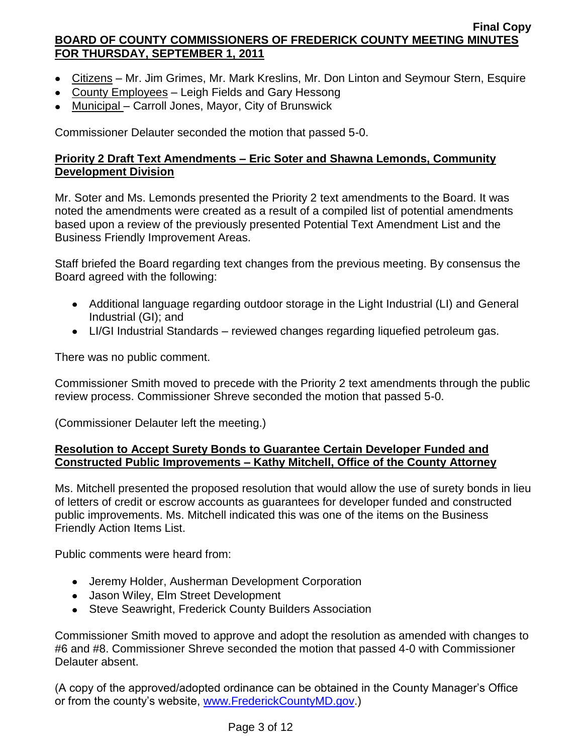- Citizens Mr. Jim Grimes, Mr. Mark Kreslins, Mr. Don Linton and Seymour Stern, Esquire
- County Employees Leigh Fields and Gary Hessong
- Municipal Carroll Jones, Mayor, City of Brunswick

Commissioner Delauter seconded the motion that passed 5-0.

## **Priority 2 Draft Text Amendments – Eric Soter and Shawna Lemonds, Community Development Division**

Mr. Soter and Ms. Lemonds presented the Priority 2 text amendments to the Board. It was noted the amendments were created as a result of a compiled list of potential amendments based upon a review of the previously presented Potential Text Amendment List and the Business Friendly Improvement Areas.

Staff briefed the Board regarding text changes from the previous meeting. By consensus the Board agreed with the following:

- Additional language regarding outdoor storage in the Light Industrial (LI) and General Industrial (GI); and
- LI/GI Industrial Standards reviewed changes regarding liquefied petroleum gas.

There was no public comment.

Commissioner Smith moved to precede with the Priority 2 text amendments through the public review process. Commissioner Shreve seconded the motion that passed 5-0.

(Commissioner Delauter left the meeting.)

### **Resolution to Accept Surety Bonds to Guarantee Certain Developer Funded and Constructed Public Improvements – Kathy Mitchell, Office of the County Attorney**

Ms. Mitchell presented the proposed resolution that would allow the use of surety bonds in lieu of letters of credit or escrow accounts as guarantees for developer funded and constructed public improvements. Ms. Mitchell indicated this was one of the items on the Business Friendly Action Items List.

Public comments were heard from:

- Jeremy Holder, Ausherman Development Corporation
- Jason Wiley, Elm Street Development
- Steve Seawright, Frederick County Builders Association

Commissioner Smith moved to approve and adopt the resolution as amended with changes to #6 and #8. Commissioner Shreve seconded the motion that passed 4-0 with Commissioner Delauter absent.

(A copy of the approved/adopted ordinance can be obtained in the County Manager's Office or from the county's website, [www.FrederickCountyMD.gov.](http://www.frederickcountymd.gov/))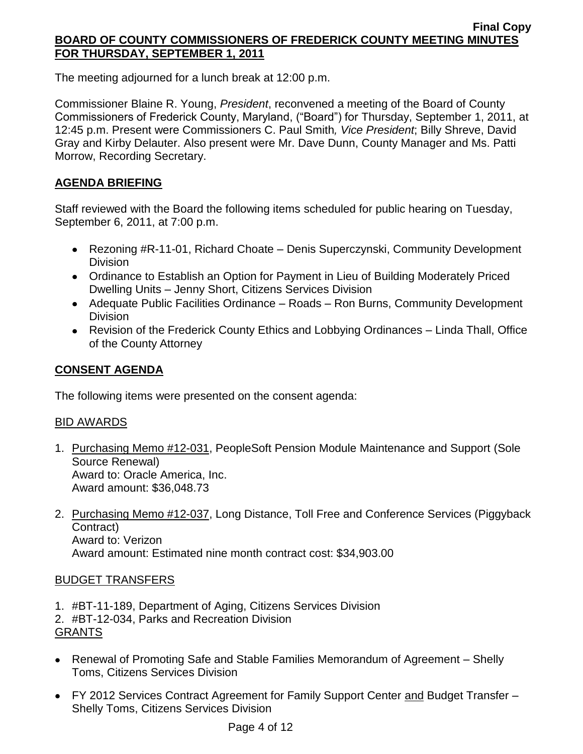The meeting adjourned for a lunch break at 12:00 p.m.

Commissioner Blaine R. Young, *President*, reconvened a meeting of the Board of County Commissioners of Frederick County, Maryland, ("Board") for Thursday, September 1, 2011, at 12:45 p.m. Present were Commissioners C. Paul Smith*, Vice President*; Billy Shreve, David Gray and Kirby Delauter. Also present were Mr. Dave Dunn, County Manager and Ms. Patti Morrow, Recording Secretary.

# **AGENDA BRIEFING**

Staff reviewed with the Board the following items scheduled for public hearing on Tuesday, September 6, 2011, at 7:00 p.m.

- Rezoning #R-11-01, Richard Choate Denis Superczynski, Community Development Division
- Ordinance to Establish an Option for Payment in Lieu of Building Moderately Priced Dwelling Units – Jenny Short, Citizens Services Division
- Adequate Public Facilities Ordinance Roads Ron Burns, Community Development Division
- Revision of the Frederick County Ethics and Lobbying Ordinances Linda Thall, Office of the County Attorney

# **CONSENT AGENDA**

The following items were presented on the consent agenda:

### BID AWARDS

- 1. Purchasing Memo #12-031, PeopleSoft Pension Module Maintenance and Support (Sole Source Renewal) Award to: Oracle America, Inc. Award amount: \$36,048.73
- 2. Purchasing Memo #12-037, Long Distance, Toll Free and Conference Services (Piggyback Contract) Award to: Verizon Award amount: Estimated nine month contract cost: \$34,903.00

### BUDGET TRANSFERS

1. #BT-11-189, Department of Aging, Citizens Services Division

2. #BT-12-034, Parks and Recreation Division GRANTS

- Renewal of Promoting Safe and Stable Families Memorandum of Agreement Shelly Toms, Citizens Services Division
- FY 2012 Services Contract Agreement for Family Support Center and Budget Transfer Shelly Toms, Citizens Services Division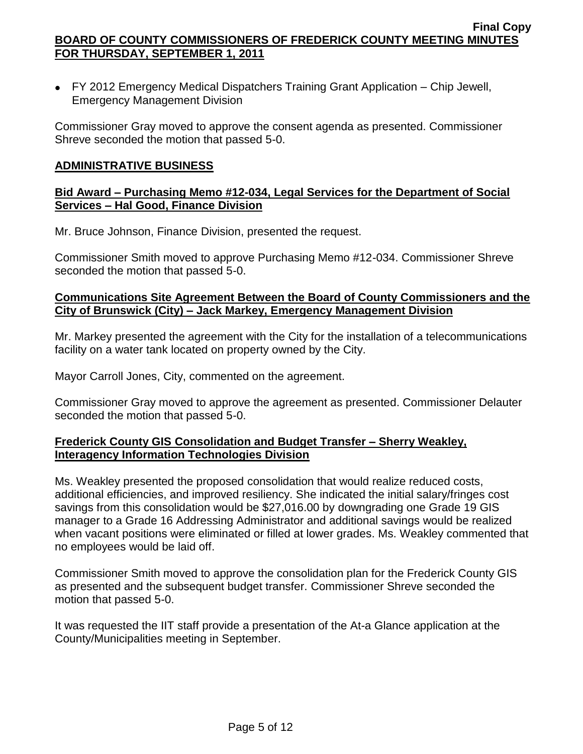FY 2012 Emergency Medical Dispatchers Training Grant Application – Chip Jewell, Emergency Management Division

Commissioner Gray moved to approve the consent agenda as presented. Commissioner Shreve seconded the motion that passed 5-0.

#### **ADMINISTRATIVE BUSINESS**

#### **Bid Award – Purchasing Memo #12-034, Legal Services for the Department of Social Services – Hal Good, Finance Division**

Mr. Bruce Johnson, Finance Division, presented the request.

Commissioner Smith moved to approve Purchasing Memo #12-034. Commissioner Shreve seconded the motion that passed 5-0.

### **Communications Site Agreement Between the Board of County Commissioners and the City of Brunswick (City) – Jack Markey, Emergency Management Division**

Mr. Markey presented the agreement with the City for the installation of a telecommunications facility on a water tank located on property owned by the City.

Mayor Carroll Jones, City, commented on the agreement.

Commissioner Gray moved to approve the agreement as presented. Commissioner Delauter seconded the motion that passed 5-0.

## **Frederick County GIS Consolidation and Budget Transfer – Sherry Weakley, Interagency Information Technologies Division**

Ms. Weakley presented the proposed consolidation that would realize reduced costs, additional efficiencies, and improved resiliency. She indicated the initial salary/fringes cost savings from this consolidation would be \$27,016.00 by downgrading one Grade 19 GIS manager to a Grade 16 Addressing Administrator and additional savings would be realized when vacant positions were eliminated or filled at lower grades. Ms. Weakley commented that no employees would be laid off.

Commissioner Smith moved to approve the consolidation plan for the Frederick County GIS as presented and the subsequent budget transfer. Commissioner Shreve seconded the motion that passed 5-0.

It was requested the IIT staff provide a presentation of the At-a Glance application at the County/Municipalities meeting in September.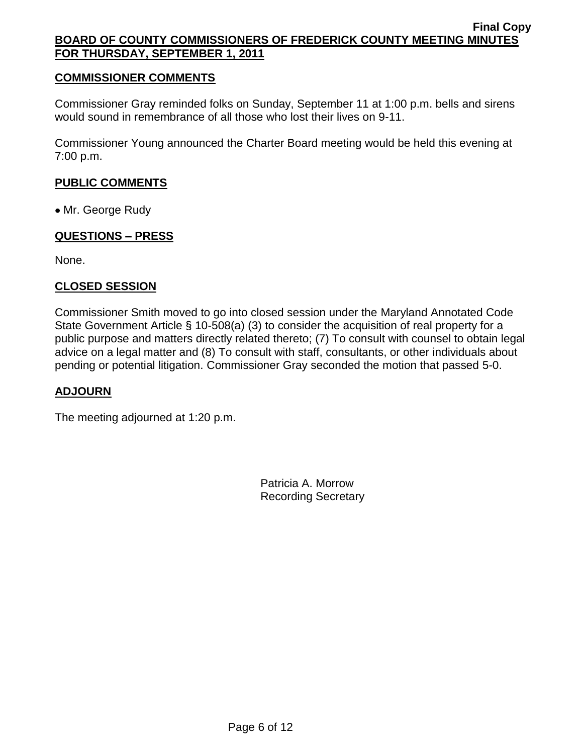### **COMMISSIONER COMMENTS**

Commissioner Gray reminded folks on Sunday, September 11 at 1:00 p.m. bells and sirens would sound in remembrance of all those who lost their lives on 9-11.

Commissioner Young announced the Charter Board meeting would be held this evening at 7:00 p.m.

### **PUBLIC COMMENTS**

• Mr. George Rudy

### **QUESTIONS – PRESS**

None.

### **CLOSED SESSION**

Commissioner Smith moved to go into closed session under the Maryland Annotated Code State Government Article § 10-508(a) (3) to consider the acquisition of real property for a public purpose and matters directly related thereto; (7) To consult with counsel to obtain legal advice on a legal matter and (8) To consult with staff, consultants, or other individuals about pending or potential litigation. Commissioner Gray seconded the motion that passed 5-0.

### **ADJOURN**

The meeting adjourned at 1:20 p.m.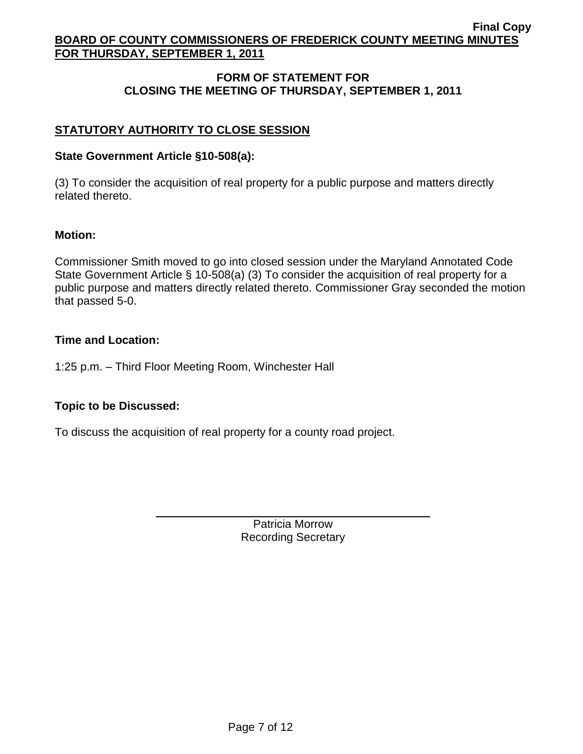# **FORM OF STATEMENT FOR CLOSING THE MEETING OF THURSDAY, SEPTEMBER 1, 2011**

# **STATUTORY AUTHORITY TO CLOSE SESSION**

### **State Government Article §10-508(a):**

(3) To consider the acquisition of real property for a public purpose and matters directly related thereto.

#### **Motion:**

Commissioner Smith moved to go into closed session under the Maryland Annotated Code State Government Article § 10-508(a) (3) To consider the acquisition of real property for a public purpose and matters directly related thereto. Commissioner Gray seconded the motion that passed 5-0.

#### **Time and Location:**

1:25 p.m. – Third Floor Meeting Room, Winchester Hall

### **Topic to be Discussed:**

To discuss the acquisition of real property for a county road project.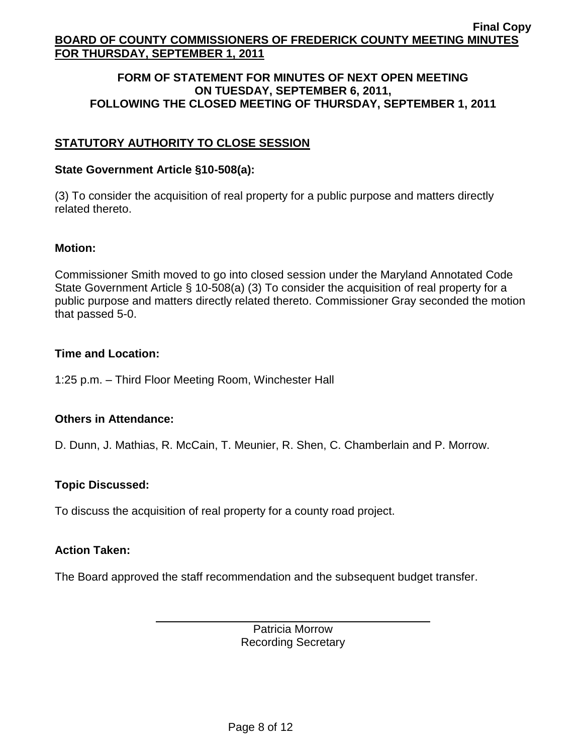#### **FORM OF STATEMENT FOR MINUTES OF NEXT OPEN MEETING ON TUESDAY, SEPTEMBER 6, 2011, FOLLOWING THE CLOSED MEETING OF THURSDAY, SEPTEMBER 1, 2011**

# **STATUTORY AUTHORITY TO CLOSE SESSION**

#### **State Government Article §10-508(a):**

(3) To consider the acquisition of real property for a public purpose and matters directly related thereto.

#### **Motion:**

Commissioner Smith moved to go into closed session under the Maryland Annotated Code State Government Article § 10-508(a) (3) To consider the acquisition of real property for a public purpose and matters directly related thereto. Commissioner Gray seconded the motion that passed 5-0.

### **Time and Location:**

1:25 p.m. – Third Floor Meeting Room, Winchester Hall

### **Others in Attendance:**

D. Dunn, J. Mathias, R. McCain, T. Meunier, R. Shen, C. Chamberlain and P. Morrow.

### **Topic Discussed:**

To discuss the acquisition of real property for a county road project.

### **Action Taken:**

The Board approved the staff recommendation and the subsequent budget transfer.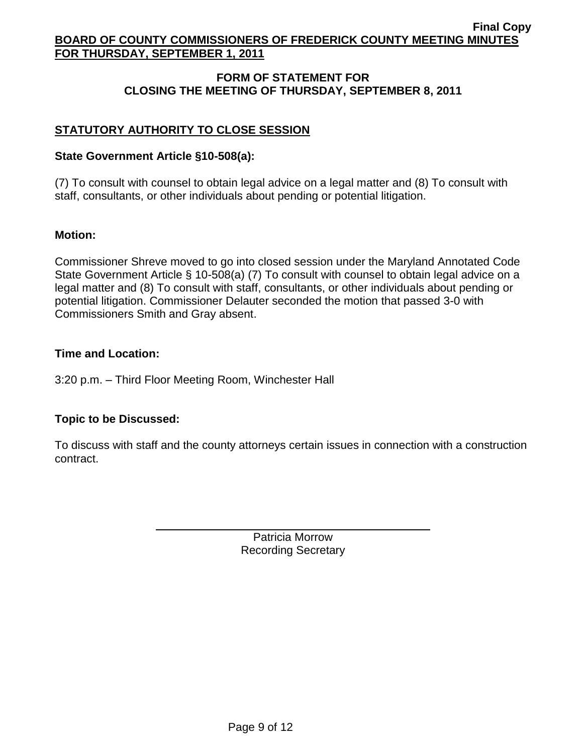# **FORM OF STATEMENT FOR CLOSING THE MEETING OF THURSDAY, SEPTEMBER 8, 2011**

# **STATUTORY AUTHORITY TO CLOSE SESSION**

## **State Government Article §10-508(a):**

(7) To consult with counsel to obtain legal advice on a legal matter and (8) To consult with staff, consultants, or other individuals about pending or potential litigation.

## **Motion:**

Commissioner Shreve moved to go into closed session under the Maryland Annotated Code State Government Article § 10-508(a) (7) To consult with counsel to obtain legal advice on a legal matter and (8) To consult with staff, consultants, or other individuals about pending or potential litigation. Commissioner Delauter seconded the motion that passed 3-0 with Commissioners Smith and Gray absent.

### **Time and Location:**

3:20 p.m. – Third Floor Meeting Room, Winchester Hall

# **Topic to be Discussed:**

To discuss with staff and the county attorneys certain issues in connection with a construction contract.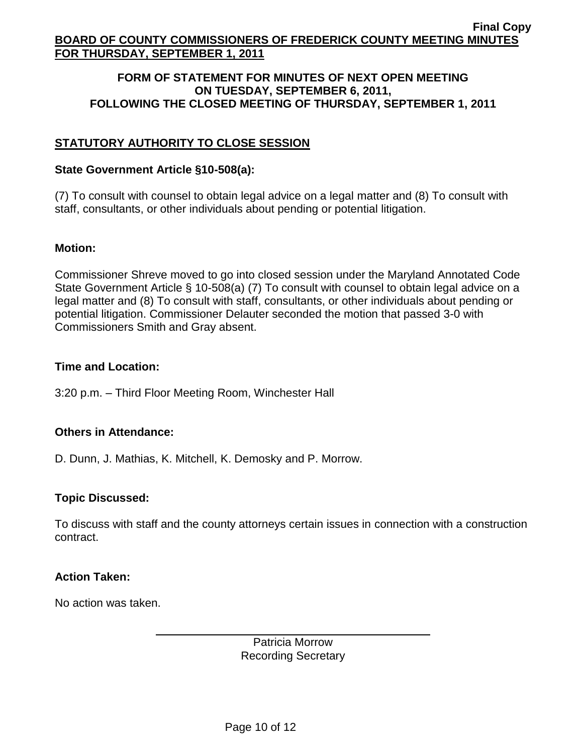#### **FORM OF STATEMENT FOR MINUTES OF NEXT OPEN MEETING ON TUESDAY, SEPTEMBER 6, 2011, FOLLOWING THE CLOSED MEETING OF THURSDAY, SEPTEMBER 1, 2011**

# **STATUTORY AUTHORITY TO CLOSE SESSION**

#### **State Government Article §10-508(a):**

(7) To consult with counsel to obtain legal advice on a legal matter and (8) To consult with staff, consultants, or other individuals about pending or potential litigation.

#### **Motion:**

Commissioner Shreve moved to go into closed session under the Maryland Annotated Code State Government Article § 10-508(a) (7) To consult with counsel to obtain legal advice on a legal matter and (8) To consult with staff, consultants, or other individuals about pending or potential litigation. Commissioner Delauter seconded the motion that passed 3-0 with Commissioners Smith and Gray absent.

#### **Time and Location:**

3:20 p.m. – Third Floor Meeting Room, Winchester Hall

### **Others in Attendance:**

D. Dunn, J. Mathias, K. Mitchell, K. Demosky and P. Morrow.

### **Topic Discussed:**

To discuss with staff and the county attorneys certain issues in connection with a construction contract.

#### **Action Taken:**

No action was taken.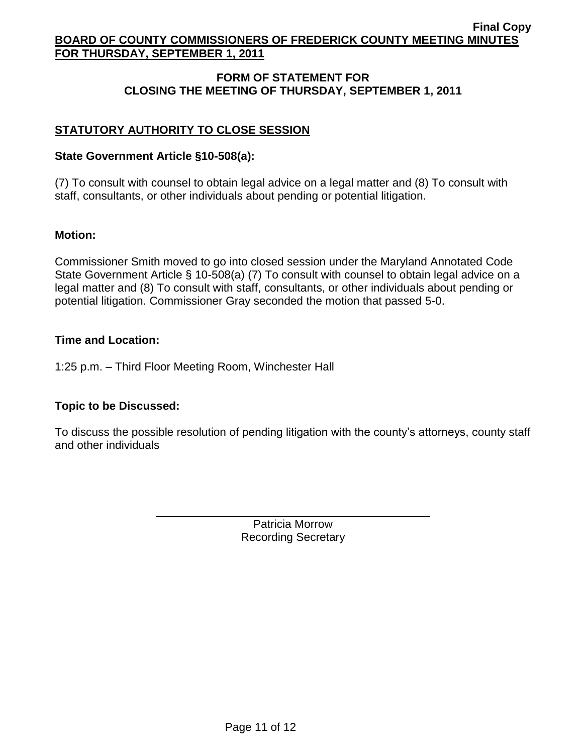# **FORM OF STATEMENT FOR CLOSING THE MEETING OF THURSDAY, SEPTEMBER 1, 2011**

# **STATUTORY AUTHORITY TO CLOSE SESSION**

## **State Government Article §10-508(a):**

(7) To consult with counsel to obtain legal advice on a legal matter and (8) To consult with staff, consultants, or other individuals about pending or potential litigation.

## **Motion:**

Commissioner Smith moved to go into closed session under the Maryland Annotated Code State Government Article § 10-508(a) (7) To consult with counsel to obtain legal advice on a legal matter and (8) To consult with staff, consultants, or other individuals about pending or potential litigation. Commissioner Gray seconded the motion that passed 5-0.

## **Time and Location:**

1:25 p.m. – Third Floor Meeting Room, Winchester Hall

# **Topic to be Discussed:**

To discuss the possible resolution of pending litigation with the county's attorneys, county staff and other individuals